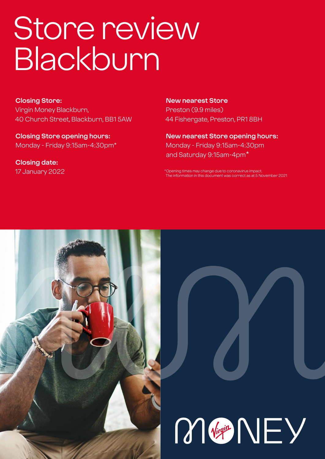# Store review Blackburn

**Closing Store:** Virgin Money Blackburn, 40 Church Street, Blackburn, BB1 5AW

**Closing Store opening hours:**  Monday - Friday 9:15am-4:30pm\*

**Closing date:**  17 January 2022 **New nearest Store** Preston (9.9 miles) 44 Fishergate, Preston, PR1 8BH

**New nearest Store opening hours:** Monday - Friday 9:15am-4:30pm and Saturday 9:15am-4pm\*

\*Opening times may change due to coronavirus impact. The information in this document was correct as at 5 November 2021



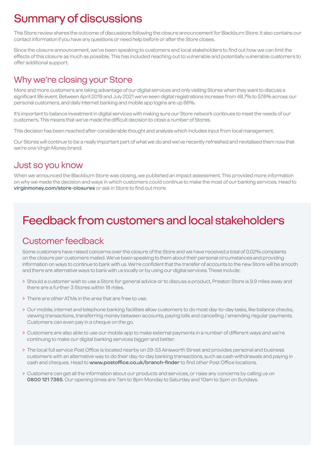# Summary of discussions

This Store review shares the outcome of discussions following the closure announcement for Blackburn Store. It also contains our contact information if you have any questions or need help before or after the Store closes.

Since the closure announcement, we've been speaking to customers and local stakeholders to find out how we can limit the effects of this closure as much as possible. This has included reaching out to vulnerable and potentially vulnerable customers to offer additional support.

### Why we're closing your Store

More and more customers are taking advantage of our digital services and only visiting Stores when they want to discuss a significant life event. Between April 2019 and July 2021 we've seen digital registrations increase from 48.7% to 57.6% across our personal customers, and daily internet banking and mobile app logins are up 66%.

It's important to balance investment in digital services with making sure our Store network continues to meet the needs of our customers. This means that we've made the difficult decision to close a number of Stores.

This decision has been reached after considerable thought and analysis which includes input from local management.

Our Stores will continue to be a really important part of what we do and we've recently refreshed and revitalised them now that we're one Virgin Money brand.

### Just so you know

When we announced the Blackburn Store was closing, we published an impact assessment. This provided more information on why we made the decision and ways in which customers could continue to make the most of our banking services. Head to **virginmoney.com/store-closures** or ask in Store to find out more.

# Feedback from customers and local stakeholders

### Customer feedback

Some customers have raised concerns over the closure of the Store and we have received a total of 0.02% complaints on the closure per customers mailed. We've been speaking to them about their personal circumstances and providing information on ways to continue to bank with us. We're confident that the transfer of accounts to the new Store will be smooth and there are alternative ways to bank with us locally or by using our digital services. These include:

- > Should a customer wish to use a Store for general advice or to discuss a product, Preston Store is 9.9 miles away and there are a further 3 Stores within 18 miles.
- > There are other ATMs in the area that are free to use.
- > Our mobile, internet and telephone banking facilities allow customers to do most day-to-day tasks, like balance checks, viewing transactions, transferring money between accounts, paying bills and cancelling / amending regular payments. Customers can even pay in a cheque on the go.
- > Customers are also able to use our mobile app to make external payments in a number of different ways and we're continuing to make our digital banking services bigger and better.
- > The local full service Post Office is located nearby on 29-33 Ainsworth Street and provides personal and business customers with an alternative way to do their day-to-day banking transactions, such as cash withdrawals and paying in cash and cheques. Head to **www.postoffice.co.uk/branch-finder** to find other Post Office locations.
- > Customers can get all the information about our products and services, or raise any concerns by calling us on **0800 121 7365**. Our opening times are 7am to 9pm Monday to Saturday and 10am to 5pm on Sundays.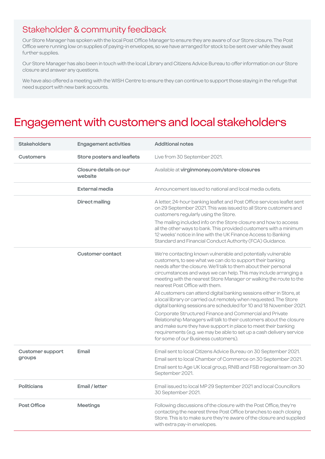### Stakeholder & community feedback

Our Store Manager has spoken with the local Post Office Manager to ensure they are aware of our Store closure. The Post Office were running low on supplies of paying-in envelopes, so we have arranged for stock to be sent over while they await further supplies.

Our Store Manager has also been in touch with the local Library and Citizens Advice Bureau to offer information on our Store closure and answer any questions.

We have also offered a meeting with the WISH Centre to ensure they can continue to support those staying in the refuge that need support with new bank accounts.

### Engagement with customers and local stakeholders

| <b>Stakeholders</b>     | <b>Engagement activities</b>      | <b>Additional notes</b>                                                                                                                                                                                                                                                                                                                                                   |
|-------------------------|-----------------------------------|---------------------------------------------------------------------------------------------------------------------------------------------------------------------------------------------------------------------------------------------------------------------------------------------------------------------------------------------------------------------------|
| <b>Customers</b>        | Store posters and leaflets        | Live from 30 September 2021.                                                                                                                                                                                                                                                                                                                                              |
|                         | Closure details on our<br>website | Available at virginmoney.com/store-closures                                                                                                                                                                                                                                                                                                                               |
|                         | <b>External media</b>             | Announcement issued to national and local media outlets.                                                                                                                                                                                                                                                                                                                  |
|                         | <b>Direct mailing</b>             | A letter, 24-hour banking leaflet and Post Office services leaflet sent<br>on 29 September 2021. This was issued to all Store customers and<br>customers regularly using the Store.                                                                                                                                                                                       |
|                         |                                   | The mailing included info on the Store closure and how to access<br>all the other ways to bank. This provided customers with a minimum<br>12 weeks' notice in line with the UK Finance Access to Banking<br>Standard and Financial Conduct Authority (FCA) Guidance.                                                                                                      |
|                         | <b>Customer contact</b>           | We're contacting known vulnerable and potentially vulnerable<br>customers, to see what we can do to support their banking<br>needs after the closure. We'll talk to them about their personal<br>circumstances and ways we can help. This may include arranging a<br>meeting with the nearest Store Manager or walking the route to the<br>nearest Post Office with them. |
|                         |                                   | All customers can attend digital banking sessions either in Store, at<br>a local library or carried out remotely when requested. The Store<br>digital banking sessions are scheduled for 10 and 18 November 2021.                                                                                                                                                         |
|                         |                                   | Corporate Structured Finance and Commercial and Private<br>Relationship Managers will talk to their customers about the closure<br>and make sure they have support in place to meet their banking<br>requirements (e.g. we may be able to set up a cash delivery service<br>for some of our Business customers).                                                          |
| <b>Customer support</b> | Email                             | Email sent to local Citizens Advice Bureau on 30 September 2021.                                                                                                                                                                                                                                                                                                          |
| groups                  |                                   | Email sent to local Chamber of Commerce on 30 September 2021.<br>Email sent to Age UK local group, RNIB and FSB regional team on 30<br>September 2021.                                                                                                                                                                                                                    |
| <b>Politicians</b>      | Email / letter                    | Email issued to local MP 29 September 2021 and local Councillors<br>30 September 2021.                                                                                                                                                                                                                                                                                    |
| Post Office             | <b>Meetings</b>                   | Following discussions of the closure with the Post Office, they're<br>contacting the nearest three Post Office branches to each closing<br>Store. This is to make sure they're aware of the closure and supplied<br>with extra pay-in envelopes.                                                                                                                          |